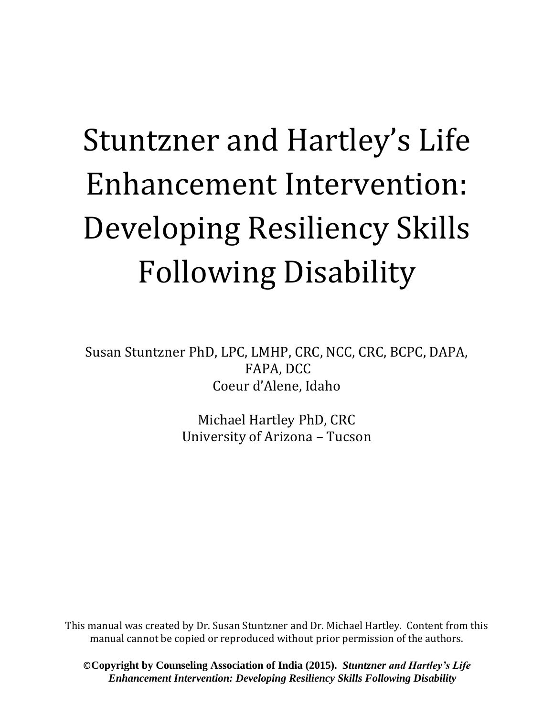## Stuntzner and Hartley's Life Enhancement Intervention: Developing Resiliency Skills Following Disability

Susan Stuntzner PhD, LPC, LMHP, CRC, NCC, CRC, BCPC, DAPA, FAPA, DCC Coeur d'Alene, Idaho

> Michael Hartley PhD, CRC University of Arizona – Tucson

This manual was created by Dr. Susan Stuntzner and Dr. Michael Hartley. Content from this manual cannot be copied or reproduced without prior permission of the authors.

©**Copyright by Counseling Association of India (2015).** *Stuntzner and Hartley's Life Enhancement Intervention: Developing Resiliency Skills Following Disability*